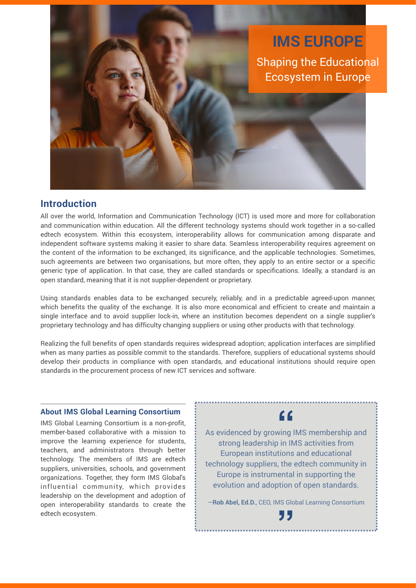

### **Introduction**

All over the world, Information and Communication Technology (ICT) is used more and more for collaboration and communication within education. All the different technology systems should work together in a so-called edtech ecosystem. Within this ecosystem, interoperability allows for communication among disparate and independent software systems making it easier to share data. Seamless interoperability requires agreement on the content of the information to be exchanged, its significance, and the applicable technologies. Sometimes, such agreements are between two organisations, but more often, they apply to an entire sector or a specific generic type of application. In that case, they are called standards or specifications. Ideally, a standard is an open standard, meaning that it is not supplier-dependent or proprietary.

Using standards enables data to be exchanged securely, reliably, and in a predictable agreed-upon manner, which benefits the quality of the exchange. It is also more economical and efficient to create and maintain a single interface and to avoid supplier lock-in, where an institution becomes dependent on a single supplier's proprietary technology and has difficulty changing suppliers or using other products with that technology.

Realizing the full benefits of open standards requires widespread adoption; application interfaces are simplified when as many parties as possible commit to the standards. Therefore, suppliers of educational systems should develop their products in compliance with open standards, and educational institutions should require open standards in the procurement process of new ICT services and software.

#### **About IMS Global Learning Consortium**

IMS Global Learning Consortium is a non-profit, member-based collaborative with a mission to improve the learning experience for students, teachers, and administrators through better technology. The members of IMS are edtech suppliers, universities, schools, and government organizations. Together, they form IMS Global's influential community, which provides leadership on the development and adoption of open interoperability standards to create the edtech ecosystem.

# **"**

As evidenced by growing IMS membership and strong leadership in IMS activities from European institutions and educational technology suppliers, the edtech community in Europe is instrumental in supporting the evolution and adoption of open standards.

—**Rob Abel, Ed.D.**, CEO, IMS Global Learning Consortium

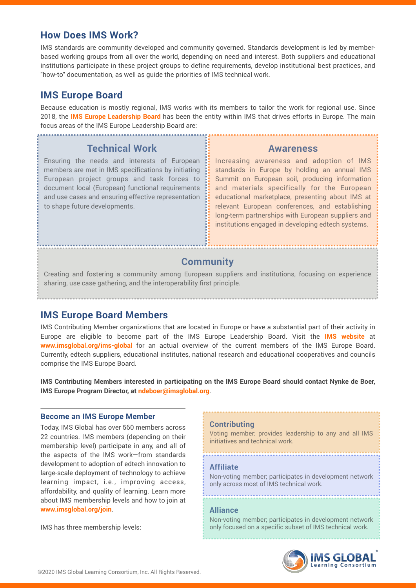## **How Does IMS Work?**

IMS standards are community developed and community governed. Standards development is led by memberbased working groups from all over the world, depending on need and interest. Both suppliers and educational institutions participate in these project groups to define requirements, develop institutional best practices, and "how-to" documentation, as well as guide the priorities of IMS technical work.

# **IMS Europe Board**

Because education is mostly regional, IMS works with its members to tailor the work for regional use. Since 2018, the **[IMS Europe Leadership Board](https://www.imsglobal.org/leadership/europeboard)** has been the entity within IMS that drives efforts in Europe. The main focus areas of the IMS Europe Leadership Board are:

## **Technical Work**

Ensuring the needs and interests of European members are met in IMS specifications by initiating European project groups and task forces to document local (European) functional requirements and use cases and ensuring effective representation to shape future developments.

#### **Awareness**

Increasing awareness and adoption of IMS standards in Europe by holding an annual IMS Summit on European soil, producing information and materials specifically for the European educational marketplace, presenting about IMS at relevant European conferences, and establishing long-term partnerships with European suppliers and institutions engaged in developing edtech systems.

# **Community**

Creating and fostering a community among European suppliers and institutions, focusing on experience sharing, use case gathering, and the interoperability first principle.

# **IMS Europe Board Members**

IMS Contributing Member organizations that are located in Europe or have a substantial part of their activity in Europe are eligible to become part of the IMS Europe Leadership Board. Visit the **[IMS website](https://www.imsglobal.org/ims-global)** at **[www.imsglobal.org/ims-global](https://www.imsglobal.org/ims-global)** for an actual overview of the current members of the IMS Europe Board. Currently, edtech suppliers, educational institutes, national research and educational cooperatives and councils comprise the IMS Europe Board.

**IMS Contributing Members interested in participating on the IMS Europe Board should contact Nynke de Boer, IMS Europe Program Director, at [ndeboer@imsglobal.org](mailto:ndeboer@imsglobal.org)**.

#### **Become an IMS Europe Member**

Today, IMS Global has over 560 members across 22 countries. IMS members (depending on their membership level) participate in any, and all of the aspects of the IMS work—from standards development to adoption of edtech innovation to large-scale deployment of technology to achieve learning impact, i.e., improving access, affordability, and quality of learning. Learn more about IMS membership levels and how to join at **[www.imsglobal.org/join](https://www.imsglobal.org/imsmembership.html)**.

IMS has three membership levels:

#### **Contributing**

Voting member; provides leadership to any and all IMS initiatives and technical work.

#### **Affiliate**

Non-voting member; participates in development network only across most of IMS technical work.

#### **Alliance**

Non-voting member; participates in development network only focused on a specific subset of IMS technical work.